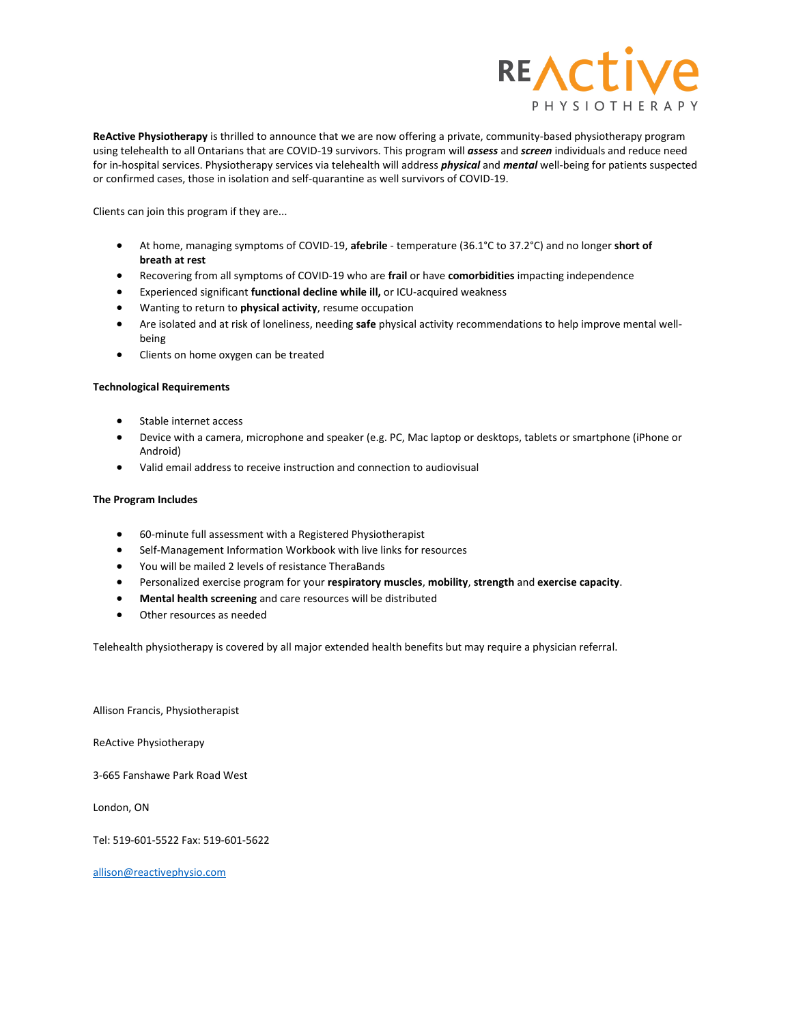

**ReActive Physiotherapy** is thrilled to announce that we are now offering a private, community-based physiotherapy program using telehealth to all Ontarians that are COVID-19 survivors. This program will *assess* and *screen* individuals and reduce need for in-hospital services. Physiotherapy services via telehealth will address *physical* and *mental* well-being for patients suspected or confirmed cases, those in isolation and self-quarantine as well survivors of COVID-19.

Clients can join this program if they are...

- At home, managing symptoms of COVID-19, **afebrile** temperature (36.1°C to 37.2°C) and no longer **short of breath at rest**
- Recovering from all symptoms of COVID-19 who are **frail** or have **comorbidities** impacting independence
- Experienced significant **functional decline while ill,** or ICU-acquired weakness
- Wanting to return to **physical activity**, resume occupation
- Are isolated and at risk of loneliness, needing **safe** physical activity recommendations to help improve mental wellbeing
- Clients on home oxygen can be treated

## **Technological Requirements**

- Stable internet access
- Device with a camera, microphone and speaker (e.g. PC, Mac laptop or desktops, tablets or smartphone (iPhone or Android)
- Valid email address to receive instruction and connection to audiovisual

## **The Program Includes**

- 60-minute full assessment with a Registered Physiotherapist
- Self-Management Information Workbook with live links for resources
- You will be mailed 2 levels of resistance TheraBands
- Personalized exercise program for your **respiratory muscles**, **mobility**, **strength** and **exercise capacity**.
- **Mental health screening** and care resources will be distributed
- Other resources as needed

Telehealth physiotherapy is covered by all major extended health benefits but may require a physician referral.

Allison Francis, Physiotherapist

ReActive Physiotherapy

3-665 Fanshawe Park Road West

London, ON

Tel: 519-601-5522 Fax: 519-601-5622

[allison@reactivephysio.com](mailto:allison@reactivephysio.com)